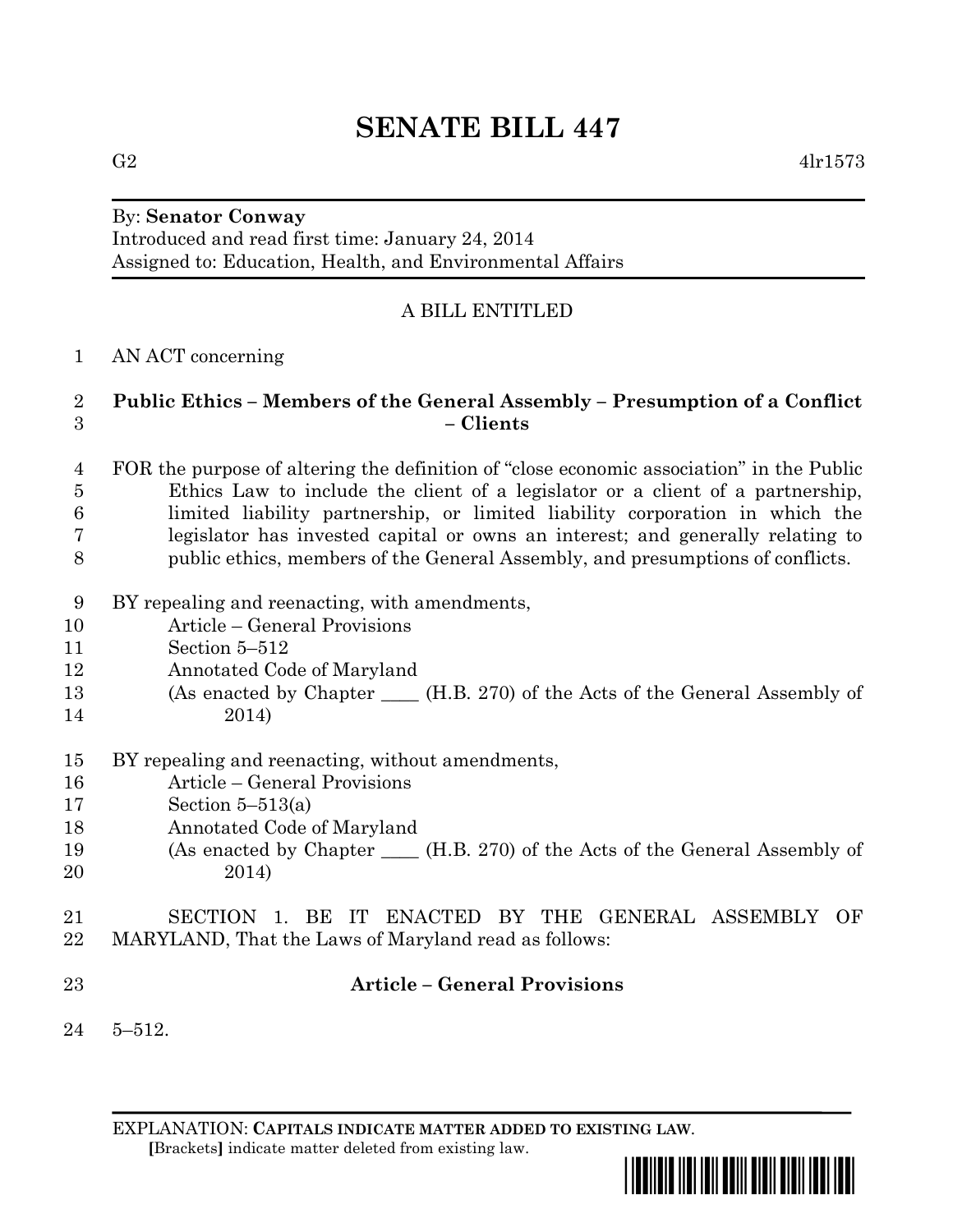# **SENATE BILL 447**

#### By: **Senator Conway**

Introduced and read first time: January 24, 2014 Assigned to: Education, Health, and Environmental Affairs

## A BILL ENTITLED

#### AN ACT concerning

#### **Public Ethics – Members of the General Assembly – Presumption of a Conflict – Clients**

- FOR the purpose of altering the definition of "close economic association" in the Public Ethics Law to include the client of a legislator or a client of a partnership, limited liability partnership, or limited liability corporation in which the legislator has invested capital or owns an interest; and generally relating to public ethics, members of the General Assembly, and presumptions of conflicts.
- BY repealing and reenacting, with amendments,
- Article General Provisions
- Section 5–512
- Annotated Code of Maryland
- (As enacted by Chapter \_\_\_\_ (H.B. 270) of the Acts of the General Assembly of 2014)
- BY repealing and reenacting, without amendments,
- Article General Provisions
- Section 5–513(a)
- Annotated Code of Maryland
- (As enacted by Chapter \_\_\_\_ (H.B. 270) of the Acts of the General Assembly of 2014)
- SECTION 1. BE IT ENACTED BY THE GENERAL ASSEMBLY OF MARYLAND, That the Laws of Maryland read as follows:
- 

### **Article – General Provisions**

5–512.

EXPLANATION: **CAPITALS INDICATE MATTER ADDED TO EXISTING LAW**.  **[**Brackets**]** indicate matter deleted from existing law.

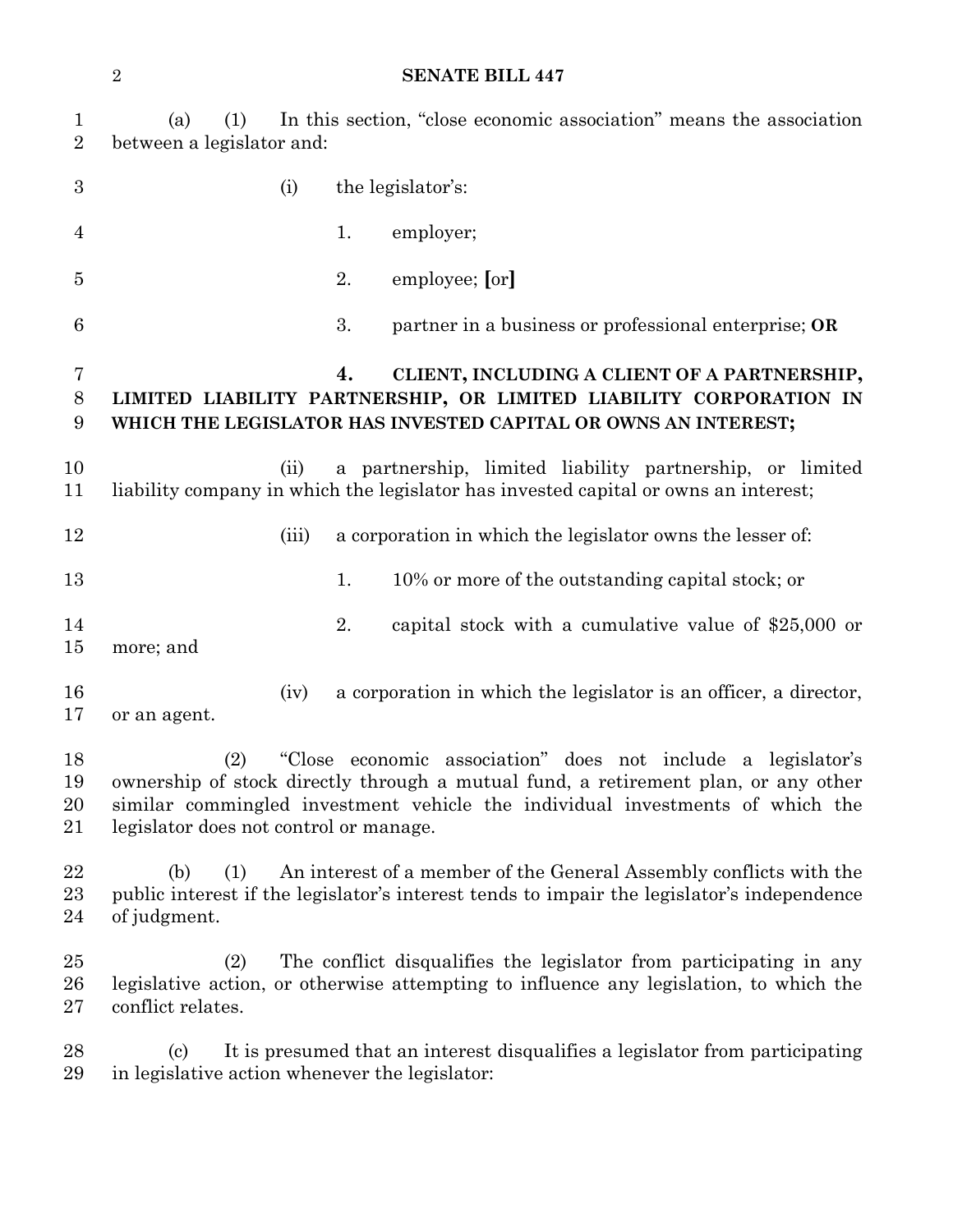#### **SENATE BILL 447**

| $\mathbf{1}$<br>$\overline{2}$ | In this section, "close economic association" means the association<br>(a)<br>(1)<br>between a legislator and:                                                                                                                                                                       |       |                                                                                                                                                                                            |  |  |  |  |  |
|--------------------------------|--------------------------------------------------------------------------------------------------------------------------------------------------------------------------------------------------------------------------------------------------------------------------------------|-------|--------------------------------------------------------------------------------------------------------------------------------------------------------------------------------------------|--|--|--|--|--|
| $\boldsymbol{3}$               |                                                                                                                                                                                                                                                                                      | (i)   | the legislator's:                                                                                                                                                                          |  |  |  |  |  |
| 4                              |                                                                                                                                                                                                                                                                                      |       | 1.<br>employer;                                                                                                                                                                            |  |  |  |  |  |
| $\overline{5}$                 |                                                                                                                                                                                                                                                                                      |       | employee; [or]<br>2.                                                                                                                                                                       |  |  |  |  |  |
| 6                              |                                                                                                                                                                                                                                                                                      |       | 3.<br>partner in a business or professional enterprise; OR                                                                                                                                 |  |  |  |  |  |
| 7<br>8<br>9                    |                                                                                                                                                                                                                                                                                      |       | CLIENT, INCLUDING A CLIENT OF A PARTNERSHIP,<br>4.<br>LIMITED LIABILITY PARTNERSHIP, OR LIMITED LIABILITY CORPORATION IN<br>WHICH THE LEGISLATOR HAS INVESTED CAPITAL OR OWNS AN INTEREST; |  |  |  |  |  |
| 10<br>11                       |                                                                                                                                                                                                                                                                                      | (ii)  | a partnership, limited liability partnership, or limited<br>liability company in which the legislator has invested capital or owns an interest;                                            |  |  |  |  |  |
| 12                             |                                                                                                                                                                                                                                                                                      | (iii) | a corporation in which the legislator owns the lesser of:                                                                                                                                  |  |  |  |  |  |
| 13                             |                                                                                                                                                                                                                                                                                      |       | 1.<br>10% or more of the outstanding capital stock; or                                                                                                                                     |  |  |  |  |  |
| 14<br>15                       | more; and                                                                                                                                                                                                                                                                            |       | 2.<br>capital stock with a cumulative value of $$25,000$ or                                                                                                                                |  |  |  |  |  |
| 16<br>17                       | or an agent.                                                                                                                                                                                                                                                                         | (iv)  | a corporation in which the legislator is an officer, a director,                                                                                                                           |  |  |  |  |  |
| 18<br>19<br>20<br>21           | "Close economic association" does not include a legislator's<br>(2)<br>ownership of stock directly through a mutual fund, a retirement plan, or any other<br>similar commingled investment vehicle the individual investments of which the<br>legislator does not control or manage. |       |                                                                                                                                                                                            |  |  |  |  |  |
| 22<br>23<br>24                 | An interest of a member of the General Assembly conflicts with the<br>(b)<br>(1)<br>public interest if the legislator's interest tends to impair the legislator's independence<br>of judgment.                                                                                       |       |                                                                                                                                                                                            |  |  |  |  |  |
| $25\,$<br>26<br>$27\,$         | (2)<br>conflict relates.                                                                                                                                                                                                                                                             |       | The conflict disqualifies the legislator from participating in any<br>legislative action, or otherwise attempting to influence any legislation, to which the                               |  |  |  |  |  |
| 28<br>29                       | (c)                                                                                                                                                                                                                                                                                  |       | It is presumed that an interest disqualifies a legislator from participating<br>in legislative action whenever the legislator:                                                             |  |  |  |  |  |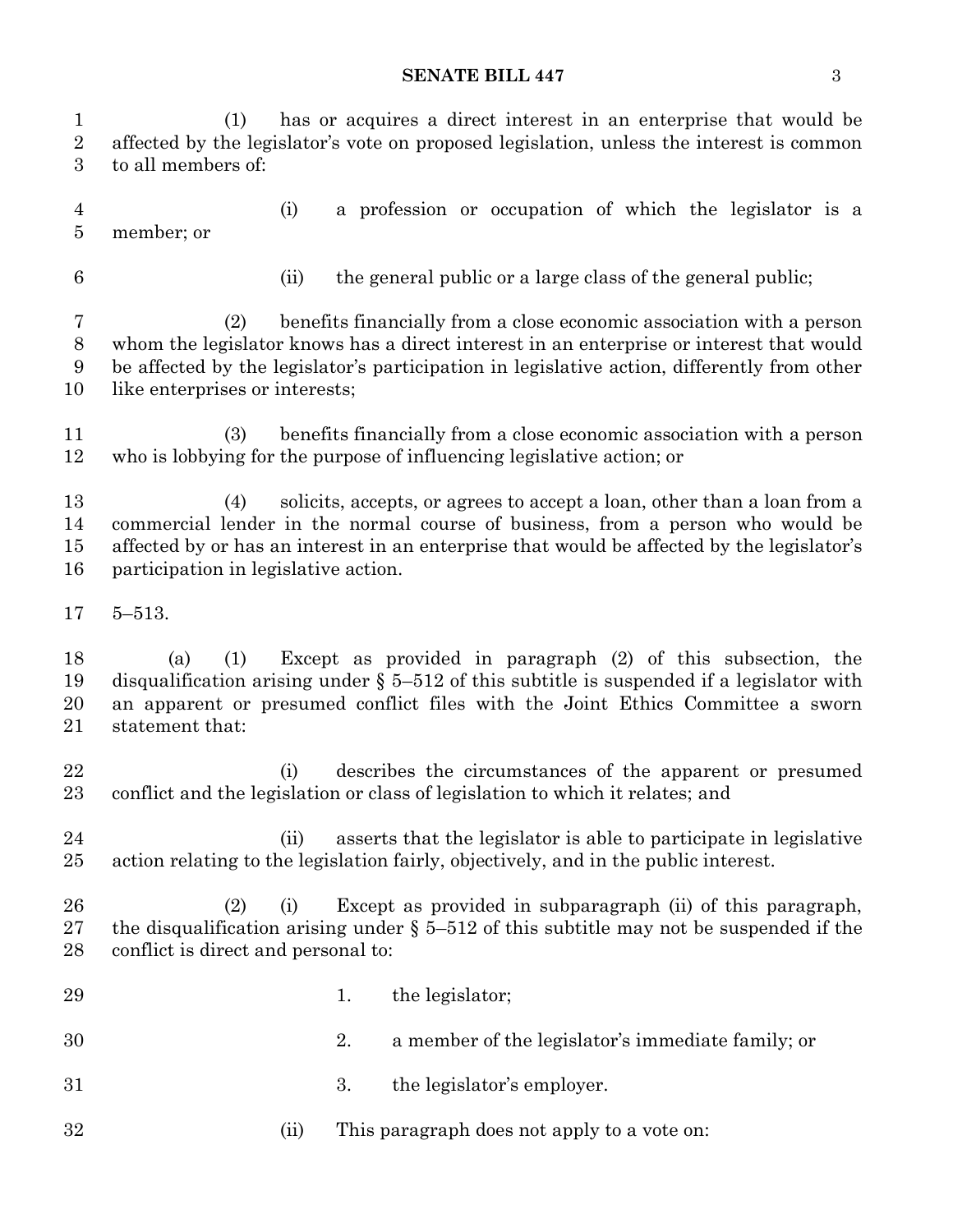#### **SENATE BILL 447** 3

| $\mathbf{1}$<br>$\overline{2}$<br>3 | has or acquires a direct interest in an enterprise that would be<br>(1)<br>affected by the legislator's vote on proposed legislation, unless the interest is common<br>to all members of:                                                                                                               |  |  |  |  |  |  |  |  |
|-------------------------------------|---------------------------------------------------------------------------------------------------------------------------------------------------------------------------------------------------------------------------------------------------------------------------------------------------------|--|--|--|--|--|--|--|--|
| 4<br>$\overline{5}$                 | a profession or occupation of which the legislator is a<br>(i)<br>member; or                                                                                                                                                                                                                            |  |  |  |  |  |  |  |  |
| $6\phantom{.}6$                     | the general public or a large class of the general public;<br>(ii)                                                                                                                                                                                                                                      |  |  |  |  |  |  |  |  |
| 7<br>$8\,$<br>9<br>10               | benefits financially from a close economic association with a person<br>(2)<br>whom the legislator knows has a direct interest in an enterprise or interest that would<br>be affected by the legislator's participation in legislative action, differently from other<br>like enterprises or interests; |  |  |  |  |  |  |  |  |
| 11<br>12                            | benefits financially from a close economic association with a person<br>(3)<br>who is lobbying for the purpose of influencing legislative action; or                                                                                                                                                    |  |  |  |  |  |  |  |  |
| 13<br>14<br>15<br>16                | solicits, accepts, or agrees to accept a loan, other than a loan from a<br>(4)<br>commercial lender in the normal course of business, from a person who would be<br>affected by or has an interest in an enterprise that would be affected by the legislator's<br>participation in legislative action.  |  |  |  |  |  |  |  |  |
| 17                                  | $5 - 513.$                                                                                                                                                                                                                                                                                              |  |  |  |  |  |  |  |  |
|                                     | Except as provided in paragraph (2) of this subsection, the<br>(1)<br>(a)<br>disqualification arising under $\S$ 5-512 of this subtitle is suspended if a legislator with<br>an apparent or presumed conflict files with the Joint Ethics Committee a sworn<br>statement that:                          |  |  |  |  |  |  |  |  |
| 18<br>19<br>20<br>21                |                                                                                                                                                                                                                                                                                                         |  |  |  |  |  |  |  |  |
| 22<br>23                            | describes the circumstances of the apparent or presumed<br>(i)<br>conflict and the legislation or class of legislation to which it relates; and                                                                                                                                                         |  |  |  |  |  |  |  |  |
| 24<br>$25\,$                        | asserts that the legislator is able to participate in legislative<br>(ii)<br>action relating to the legislation fairly, objectively, and in the public interest.                                                                                                                                        |  |  |  |  |  |  |  |  |
| 26<br>$27\,$<br>28                  | Except as provided in subparagraph (ii) of this paragraph,<br>(2)<br>(i)<br>the disqualification arising under $\S$ 5-512 of this subtitle may not be suspended if the<br>conflict is direct and personal to:                                                                                           |  |  |  |  |  |  |  |  |
| 29                                  | the legislator;<br>1.                                                                                                                                                                                                                                                                                   |  |  |  |  |  |  |  |  |
| 30                                  | 2.<br>a member of the legislator's immediate family; or                                                                                                                                                                                                                                                 |  |  |  |  |  |  |  |  |
| 31                                  | 3.<br>the legislator's employer.                                                                                                                                                                                                                                                                        |  |  |  |  |  |  |  |  |